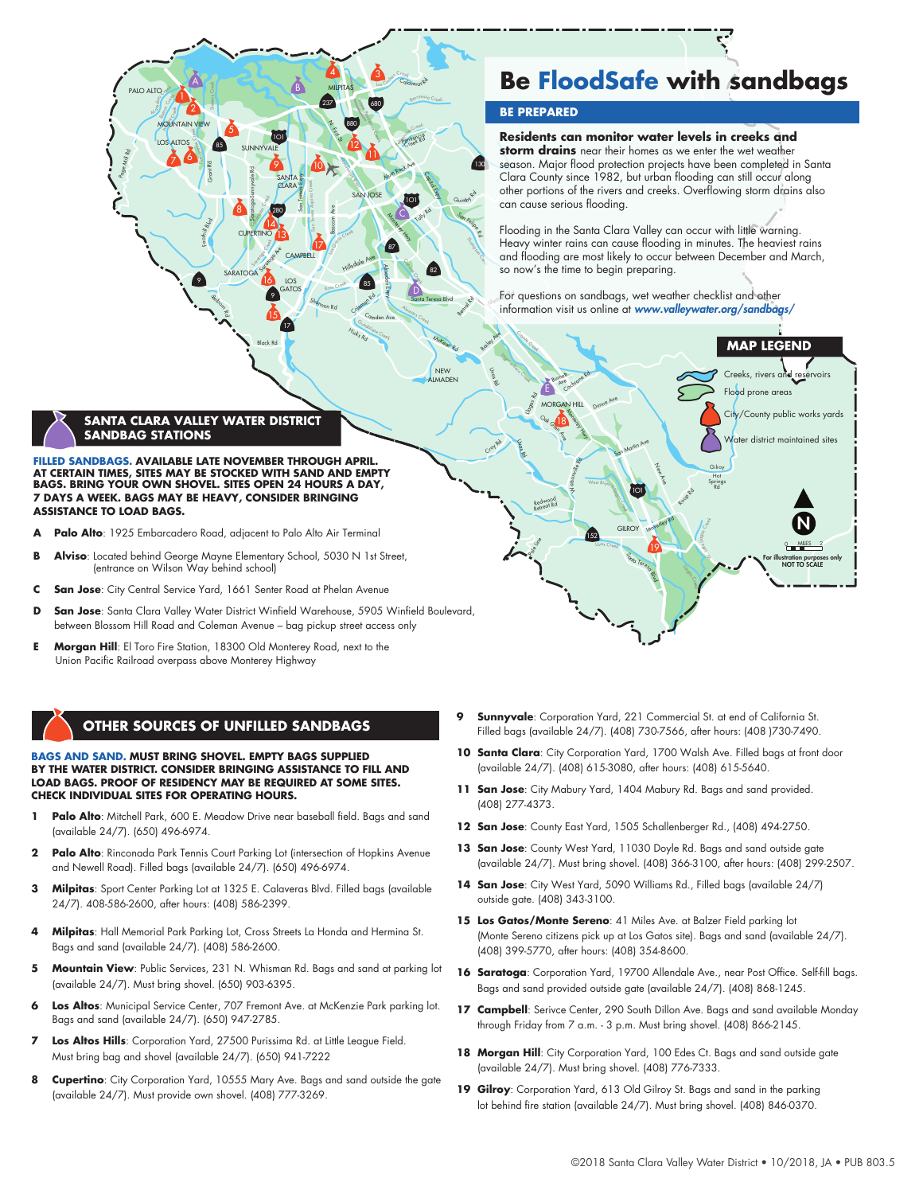**FILLED SANDBAGS. AVAILABLE LATE NOVEMBER THROUGH APRIL. AT CERTAIN TIMES, SITES MAY BE STOCKED WITH SAND AND EMPTY BAGS. BRING YOUR OWN SHOVEL. SITES OPEN 24 HOURS A DAY, 7 DAYS A WEEK. BAGS MAY BE HEAVY, CONSIDER BRINGING** 

**SANTA CLARA VALLEY WATER DISTRICT** 

**SANDBAG STATIONS**

Foothill  $\theta_{kq}$  Grant Rd

Per manen et Creek

2

85

20 P 9

5

9

LOS ALTOS

 $\int_{\text{OUN}}$ **ATO** 

 $P$ ALTO

Sanborn r.

Page Mill Rd

- **ASSISTANCE TO LOAD BAGS.**
- Palo Alto: 1925 Embarcadero Road, adjacent to Palo Alto Air Terminal
- **B** Alviso: Located behind George Mayne Elementary School, 5030 N 1st Street, (entrance on Wilson Way behind school)
- **C San Jose**: City Central Service Yard, 1661 Senter Road at Phelan Avenue
- **D** San Jose: Santa Clara Valley Water District Winfield Warehouse, 5905 Winfield Boulevard, between Blossom Hill Road and Coleman Avenue – bag pickup street access only

Sarage Ave

16

14 13

9

15

280

 $1$ O1

MOUNTAIN VIEW **Report Following Contract Contract Contract Contract Contract Contract Contract Contract Contract Contract Contract Contract Contract Contract Contract Contract Contract Contract Contract Contract Contract C** 

B

SANTA CLARA

**CUPERTINO** 

Saratoga-Sunnyvale Rd

Calabaga-Sa<br>Creek<br>Creek

Saratoga Creek

SARATOGA

8

LOS GATOS

17

**CAMPBELL** 

San Tomas Expy

San Tomas Aquino Creek

SUNNYVALE

Black Rd

**E** Morgan Hill: El Toro Fire Station, 18300 Old Monterey Road, next to the Union Pacific Railroad overpass above Monterey Highway

## **OTHER SOURCES OF UNFILLED SANDBAGS**

### **BAGS AND SAND. MUST BRING SHOVEL. EMPTY BAGS SUPPLIED BY THE WATER DISTRICT. CONSIDER BRINGING ASSISTANCE TO FILL AND LOAD BAGS. PROOF OF RESIDENCY MAY BE REQUIRED AT SOME SITES. CHECK INDIVIDUAL SITES FOR OPERATING HOURS.**

- **Palo Alto**: Mitchell Park, 600 E. Meadow Drive near baseball field. Bags and sand (available 24/7). (650) 496-6974.
- **2 Palo Alto**: Rinconada Park Tennis Court Parking Lot (intersection of Hopkins Avenue and Newell Road). Filled bags (available 24/7). (650) 496-6974.
- **3 Milpitas**: Sport Center Parking Lot at 1325 E. Calaveras Blvd. Filled bags (available 24/7). 408-586-2600, after hours: (408) 586-2399.
- **4 Milpitas**: Hall Memorial Park Parking Lot, Cross Streets La Honda and Hermina St. Bags and sand (available 24/7). (408) 586-2600.
- **Mountain View**: Public Services, 231 N. Whisman Rd. Bags and sand at parking lot (available 24/7). Must bring shovel. (650) 903-6395.
- **6 Los Altos**: Municipal Service Center, 707 Fremont Ave. at McKenzie Park parking lot. Bags and sand (available 24/7). (650) 947-2785.
- **7 Los Altos Hills**: Corporation Yard, 27500 Purissima Rd. at Little League Field. Must bring bag and shovel (available 24/7). (650) 941-7222
- **Cupertino**: City Corporation Yard, 10555 Mary Ave. Bags and sand outside the gate (available 24/7). Must provide own shovel. (408) 777-3269.

**Be FloodSafe with sandbags**

### **BE PREPARED**

Calaveras RD

S<br>Los Cola

Berryessa Creek

Penitencia

Penite<sub>C</sub>

1O1

Capital Exp

Tully Rd

Santa Teresa Blvd

D

Alamitos Creek

Canon Canon

82

NEW

Bernard Rd

Quintot<sup>2</sup> Son Felipe Rd

130

The Creek

Alum Rock Ave

**Monterey Hwy** 

C

Almaden Expy

 $\sqrt{87}$ 

N. First St

12

Guadalupe River

4 1 3

237

MILPITAS

Bascom Ave

Baccreek

<sup>R</sup>os<sup>s</sup> <sup>C</sup>re<sup>e</sup><sup>k</sup>

Hillsdale Ave

SAN JOSE

680

Lower Peninst

Coleman Rd

85

Guadalupe Creek

Hicks Rd C<sup>a</sup>md<sup>e</sup><sup>n</sup> <sup>A</sup>v<sup>e</sup>

Shannon Rd

17

 $\overline{10}$ 

**Residents can monitor water levels in creeks and storm drains** near their homes as we enter the wet weather season. Major flood protection projects have been completed in Santa Clara County since 1982, but urban flooding can still occur along other portions of the rivers and creeks. Overflowing storm drains also can cause serious flooding.

Flooding in the Santa Clara Valley can occur with little warning. Heavy winter rains can cause flooding in minutes. The heaviest rains and flooding are most likely to occur between December and March, so now's the time to begin preparing.

For questions on sandbags, wet weather checklist and other information visit us online at *www.valleywater.org/sandbags/*



- **9 Sunnyvale**: Corporation Yard, 221 Commercial St. at end of California St. Filled bags (available 24/7). (408) 730-7566, after hours: (408 )730-7490.
- **10 Santa Clara**: City Corporation Yard, 1700 Walsh Ave. Filled bags at front door (available 24/7). (408) 615-3080, after hours: (408) 615-5640.
- **11 San Jose**: City Mabury Yard, 1404 Mabury Rd. Bags and sand provided. (408) 277-4373.
- **12 San Jose**: County East Yard, 1505 Schallenberger Rd., (408) 494-2750.
- 13 San Jose: County West Yard, 11030 Doyle Rd. Bags and sand outside gate (available 24/7). Must bring shovel. (408) 366-3100, after hours: (408) 299-2507.
- 14 San Jose: City West Yard, 5090 Williams Rd., Filled bags (available 24/7) outside gate. (408) 343-3100.
- **15 Los Gatos/Monte Sereno**: 41 Miles Ave. at Balzer Field parking lot (Monte Sereno citizens pick up at Los Gatos site). Bags and sand (available 24/7). (408) 399-5770, after hours: (408) 354-8600.
- 16 Saratoga: Corporation Yard, 19700 Allendale Ave., near Post Office. Self-fill bags. Bags and sand provided outside gate (available 24/7). (408) 868-1245.
- 17 Campbell: Serivce Center, 290 South Dillon Ave. Bags and sand available Monday through Friday from 7 a.m. - 3 p.m. Must bring shovel. (408) 866-2145.
- 18 Morgan Hill: City Corporation Yard, 100 Edes Ct. Bags and sand outside gate (available 24/7). Must bring shovel. (408) 776-7333.
- **19 Gilroy**: Corporation Yard, 613 Old Gilroy St. Bags and sand in the parking lot behind fire station (available 24/7). Must bring shovel. (408) 846-0370.